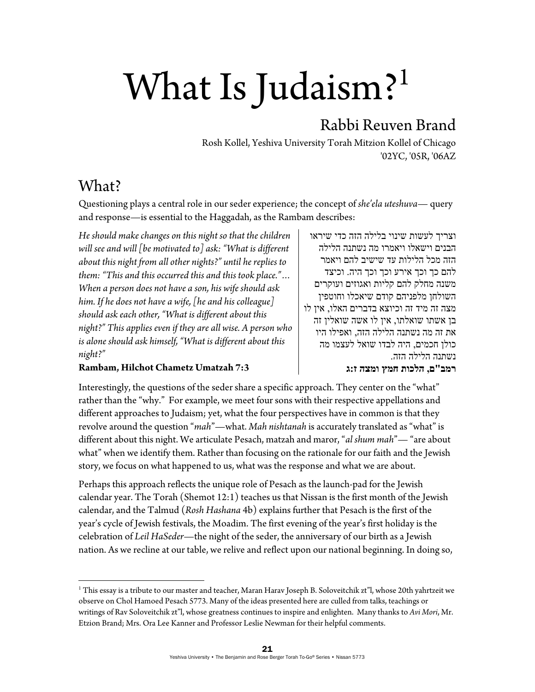# What Is Judaism?<sup>1</sup>

# Rabbi Reuven Brand

Rosh Kollel, Yeshiva University Torah Mitzion Kollel of Chicago '02YC, '05R, '06AZ

## What?

Questioning plays a central role in our seder experience; the concept of *she'ela uteshuva*— query and response—is essential to the Haggadah, as the Rambam describes:

*He should make changes on this night so that the children will see and will [be motivated to] ask: "What is different about this night from all other nights?" until he replies to them: "This and this occurred this and this took place."… When a person does not have a son, his wife should ask him. If he does not have a wife, [he and his colleague] should ask each other, "What is different about this night?" This applies even if they are all wise. A person who is alone should ask himself, "What is different about this night?"* 

## **Rambam, Hilchot Chametz Umatzah 7:3**

וצריך לעשות שינוי בלילה הזה כדי שיראו הבנים וישאלו ויאמרו מה נשתנה הלילה הזה מכל הלילות עד שישיב להם ויאמר להם כך וכך אירע וכך וכך היה. וכיצד משנה מחלק להם קליות ואגוזים ועוקרים השולחן מלפניהם קודם שיאכלו וחוטפין מצה זה מיד זה וכיוצא בדברים האלו, אין לו בן אשתו שואלתו, אין לו אשה שואלין זה את זה מה נשתנה הלילה הזה, ואפילו היו כולן חכמים, היה לבדו שואל לעצמו מה נשתנה הלילה הזה.

#### **רמב"ם, הלכות חמץ ומצה ז:ג**

Interestingly, the questions of the seder share a specific approach. They center on the "what" rather than the "why." For example, we meet four sons with their respective appellations and different approaches to Judaism; yet, what the four perspectives have in common is that they revolve around the question "*mah*"—what. *Mah nishtanah* is accurately translated as "what" is different about this night. We articulate Pesach, matzah and maror, "*al shum mah*"— "are about what" when we identify them. Rather than focusing on the rationale for our faith and the Jewish story, we focus on what happened to us, what was the response and what we are about.

Perhaps this approach reflects the unique role of Pesach as the launch-pad for the Jewish calendar year. The Torah (Shemot 12:1) teaches us that Nissan is the first month of the Jewish calendar, and the Talmud (*Rosh Hashana* 4b) explains further that Pesach is the first of the year's cycle of Jewish festivals, the Moadim. The first evening of the year's first holiday is the celebration of *Leil HaSeder*—the night of the seder, the anniversary of our birth as a Jewish nation. As we recline at our table, we relive and reflect upon our national beginning. In doing so,

 $^{\rm 1}$  This essay is a tribute to our master and teacher, Maran Harav Joseph B. Soloveitchik zt"l, whose 20th yahrtzeit we observe on Chol Hamoed Pesach 5773. Many of the ideas presented here are culled from talks, teachings or writings of Rav Soloveitchik zt"l, whose greatness continues to inspire and enlighten. Many thanks to *Avi Mori*, Mr. Etzion Brand; Mrs. Ora Lee Kanner and Professor Leslie Newman for their helpful comments.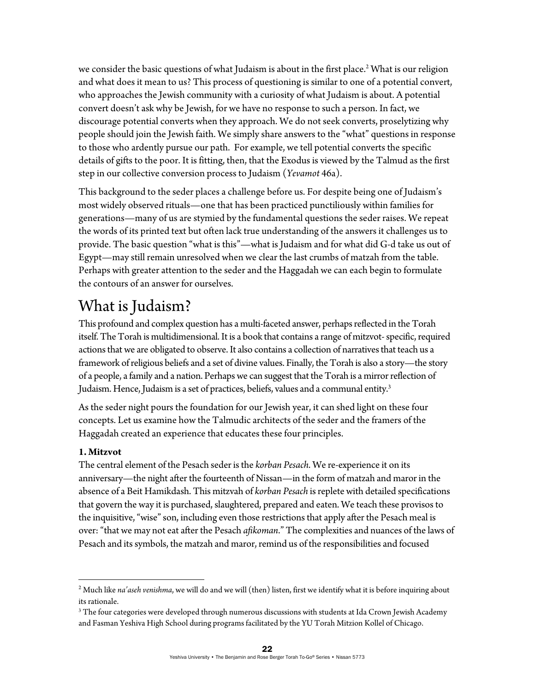we consider the basic questions of what Judaism is about in the first place.<sup>2</sup> What is our religion and what does it mean to us? This process of questioning is similar to one of a potential convert, who approaches the Jewish community with a curiosity of what Judaism is about. A potential convert doesn't ask why be Jewish, for we have no response to such a person. In fact, we discourage potential converts when they approach. We do not seek converts, proselytizing why people should join the Jewish faith. We simply share answers to the "what" questions in response to those who ardently pursue our path. For example, we tell potential converts the specific details of gifts to the poor. It is fitting, then, that the Exodus is viewed by the Talmud as the first step in our collective conversion process to Judaism (*Yevamot* 46a).

This background to the seder places a challenge before us. For despite being one of Judaism's most widely observed rituals—one that has been practiced punctiliously within families for generations—many of us are stymied by the fundamental questions the seder raises. We repeat the words of its printed text but often lack true understanding of the answers it challenges us to provide. The basic question "what is this"—what is Judaism and for what did G-d take us out of Egypt—may still remain unresolved when we clear the last crumbs of matzah from the table. Perhaps with greater attention to the seder and the Haggadah we can each begin to formulate the contours of an answer for ourselves.

# What is Judaism?

This profound and complex question has a multi-faceted answer, perhaps reflected in the Torah itself. The Torah is multidimensional. It is a book that contains a range of mitzvot- specific, required actions that we are obligated to observe. It also contains a collection of narratives that teach us a framework of religious beliefs and a set of divine values. Finally, the Torah is also a story—the story of a people, a family and a nation. Perhaps we can suggest that the Torah is a mirror reflection of Judaism. Hence, Judaism is a set of practices, beliefs, values and a communal entity.<sup>3</sup>

As the seder night pours the foundation for our Jewish year, it can shed light on these four concepts. Let us examine how the Talmudic architects of the seder and the framers of the Haggadah created an experience that educates these four principles.

## **1. Mitzvot**

The central element of the Pesach seder is the *korban Pesach*. We re-experience it on its anniversary—the night after the fourteenth of Nissan—in the form of matzah and maror in the absence of a Beit Hamikdash. This mitzvah of *korban Pesach* is replete with detailed specifications that govern the way it is purchased, slaughtered, prepared and eaten. We teach these provisos to the inquisitive, "wise" son, including even those restrictions that apply after the Pesach meal is over: "that we may not eat after the Pesach *afikoman*." The complexities and nuances of the laws of Pesach and its symbols, the matzah and maror, remind us of the responsibilities and focused

<sup>2</sup> Much like *na'aseh venishma*, we will do and we will (then) listen, first we identify what it is before inquiring about its rationale.

 $^3$  The four categories were developed through numerous discussions with students at Ida Crown Jewish Academy and Fasman Yeshiva High School during programs facilitated by the YU Torah Mitzion Kollel of Chicago.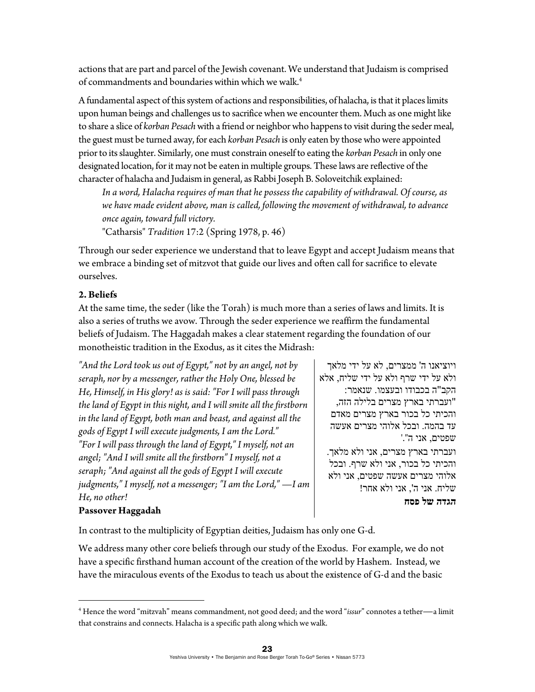actions that are part and parcel of the Jewish covenant. We understand that Judaism is comprised of commandments and boundaries within which we walk.<sup>4</sup>

A fundamental aspect of this system of actions and responsibilities, of halacha, is that it places limits upon human beings and challenges us to sacrifice when we encounter them. Much as one might like to share a slice of *korban Pesach* with a friend or neighbor who happens to visit during the seder meal, the guest must be turned away, for each *korban Pesach* is only eaten by those who were appointed prior to its slaughter. Similarly, one must constrain oneself to eating the *korban Pesach* in only one designated location, for it may not be eaten in multiple groups. These laws are reflective of the character of halacha and Judaism in general, as Rabbi Joseph B. Soloveitchik explained:

*In a word, Halacha requires of man that he possess the capability of withdrawal. Of course, as we have made evident above, man is called, following the movement of withdrawal, to advance once again, toward full victory.* 

"Catharsis" *Tradition* 17:2 (Spring 1978, p. 46)

Through our seder experience we understand that to leave Egypt and accept Judaism means that we embrace a binding set of mitzvot that guide our lives and often call for sacrifice to elevate ourselves.

#### **2. Beliefs**

At the same time, the seder (like the Torah) is much more than a series of laws and limits. It is also a series of truths we avow. Through the seder experience we reaffirm the fundamental beliefs of Judaism. The Haggadah makes a clear statement regarding the foundation of our monotheistic tradition in the Exodus, as it cites the Midrash:

*"And the Lord took us out of Egypt," not by an angel, not by seraph, nor by a messenger, rather the Holy One, blessed be He, Himself, in His glory! as is said: "For I will pass through the land of Egypt in this night, and I will smite all the firstborn in the land of Egypt, both man and beast, and against all the gods of Egypt I will execute judgments, I am the Lord." "For I will pass through the land of Egypt," I myself, not an angel; "And I will smite all the firstborn" I myself, not a seraph; "And against all the gods of Egypt I will execute judgments," I myself, not a messenger; "I am the Lord,"* —*I am He, no other!* 

ויוציאנו ה' ממצרים, לא על ידי מלאך ולא על ידי שרף ולא על ידי שליח, אלא הקב"ה בכבודו ובעצמו. שנאמר: "ועברתי בארץ מצרים בלילה הזה, והכיתי כל בכור בארץ מצרים מאדם עד בהמה. ובכל אלוהי מצרים אעשה שפטים, אני ה".' ועברתי בארץ מצרים, אני ולא מלאך. והכיתי כל בכור, אני ולא שרף. ובכל אלוהי מצרים אעשה שפטים, אני ולא שליח. אני ה', אני ולא אחר! **הגדה של פסח** 

## **Passover Haggadah**

In contrast to the multiplicity of Egyptian deities, Judaism has only one G-d.

We address many other core beliefs through our study of the Exodus. For example, we do not have a specific firsthand human account of the creation of the world by Hashem. Instead, we have the miraculous events of the Exodus to teach us about the existence of G-d and the basic

<sup>4</sup> Hence the word "mitzvah" means commandment, not good deed; and the word "*issur*" connotes a tether—a limit that constrains and connects. Halacha is a specific path along which we walk.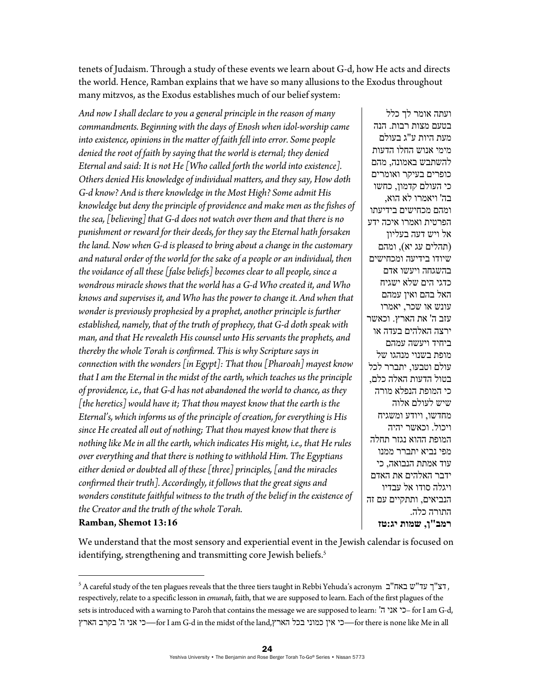tenets of Judaism. Through a study of these events we learn about G-d, how He acts and directs the world. Hence, Ramban explains that we have so many allusions to the Exodus throughout many mitzvos, as the Exodus establishes much of our belief system:

*And now I shall declare to you a general principle in the reason of many commandments. Beginning with the days of Enosh when idol-worship came into existence, opinions in the matter of faith fell into error. Some people denied the root of faith by saying that the world is eternal; they denied Eternal and said: It is not He [Who called forth the world into existence]. Others denied His knowledge of individual matters, and they say, How doth G-d know? And is there knowledge in the Most High? Some admit His knowledge but deny the principle of providence and make men as the fishes of the sea, [believing] that G-d does not watch over them and that there is no punishment or reward for their deeds, for they say the Eternal hath forsaken the land. Now when G-d is pleased to bring about a change in the customary and natural order of the world for the sake of a people or an individual, then the voidance of all these [false beliefs] becomes clear to all people, since a wondrous miracle shows that the world has a G-d Who created it, and Who knows and supervises it, and Who has the power to change it. And when that*  wonder is previously prophesied by a prophet, another principle is further *established, namely, that of the truth of prophecy, that G-d doth speak with man, and that He revealeth His counsel unto His servants the prophets, and thereby the whole Torah is confirmed. This is why Scripture says in connection with the wonders [in Egypt]: That thou [Pharoah] mayest know that I am the Eternal in the midst of the earth, which teaches us the principle of providence, i.e., that G-d has not abandoned the world to chance, as they [the heretics] would have it; That thou mayest know that the earth is the Eternal's, which informs us of the principle of creation, for everything is His since He created all out of nothing; That thou mayest know that there is nothing like Me in all the earth, which indicates His might, i.e., that He rules over everything and that there is nothing to withhold Him. The Egyptians either denied or doubted all of these [three] principles, [and the miracles confirmed their truth]. Accordingly, it follows that the great signs and wonders constitute faithful witness to the truth of the belief in the existence of the Creator and the truth of the whole Torah.*  **Ramban, Shemot 13:16** 

ועתה אומר לך כלל בטעם מצות רבות. הנה מעת היות ע"ג בעולם מימי אנוש החלו הדעות להשתבש באמונה, מהם כופרים בעיקר ואומרים כי העולם קדמון, כחשו בה' ויאמרו לא הוא, ומהם מכחישים בידיעתו הפרטית ואמרו איכה ידע אל ויש דעה בעליון (תהלים עג יא), ומהם שיודו בידיעה ומכחישים בהשגחה ויעשו אדם כדגי הים שלא ישגיח האל בהם ואין עמהם עונש או שכר, יאמרו עזב ה' את הארץ. וכאשר ירצה האלהים בעדה או ביחיד ויעשה עמהם מופת בשנוי מנהגו של עולם וטבעו, יתברר לכל בטול הדעות האלה כלם, כי המופת הנפלא מורה שיש לעולם אלוה מחדשו, ויודע ומשגיח ויכול. וכאשר יהיה המופת ההוא נגזר תחלה מפי נביא יתברר ממנו עוד אמתת הנבואה, כי ידבר האלהים את האדם ויגלה סודו אל עבדיו הנביאים, ותתקיים עם זה התורה כלה. **רמב"ן, שמות יג:טז**

We understand that the most sensory and experiential event in the Jewish calendar is focused on identifying, strengthening and transmitting core Jewish beliefs.<sup>5</sup>

 $^5$ A careful study of the ten plagues reveals that the three tiers taught in Rebbi Yehuda's acronym דצ"ך עד"ש באח, respectively, relate to a specific lesson in *emunah*, faith, that we are supposed to learn. Each of the first plagues of the sets is introduced with a warning to Paroh that contains the message we are supposed to learn: 'ה אני כי –for I am G-d, הארץ בקרב' ה אני כי—for I am G-d in the midst of the land,הארץ בכל כמוני אין כי—for there is none like Me in all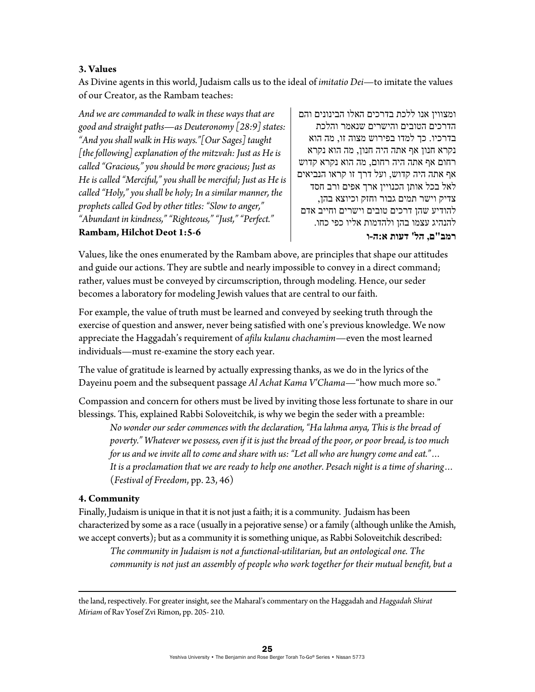#### **3. Values**

As Divine agents in this world, Judaism calls us to the ideal of *imitatio Dei*—to imitate the values of our Creator, as the Rambam teaches:

*And we are commanded to walk in these ways that are good and straight paths*—*as Deuteronomy [28:9] states: "And you shall walk in His ways."[Our Sages] taught [the following] explanation of the mitzvah: Just as He is called "Gracious," you should be more gracious; Just as He is called "Merciful," you shall be merciful; Just as He is called "Holy," you shall be holy; In a similar manner, the prophets called God by other titles: "Slow to anger," "Abundant in kindness," "Righteous," "Just," "Perfect."*  **Rambam, Hilchot Deot 1:5-6** 

ומצווין אנו ללכת בדרכים האלו הבינונים והם הדרכים הטובים והישרים שנאמר והלכת בדרכיו. כך למדו בפירוש מצוה זו, מה הוא נקרא חנון אף אתה היה חנון, מה הוא נקרא רחום אף אתה היה רחום, מה הוא נקרא קדוש אף אתה היה קדוש, ועל דרך זו קראו הנביאים לאל בכל אותן הכנויין ארך אפים ורב חסד צדיק וישר תמים גבור וחזק וכיוצא בהן, להודיע שהן דרכים טובים וישרים וחייב אדם להנהיג עצמו בהן ולהדמות אליו כפי כחו. **רמב"ם, הל' דעות א:ה-ו**

Values, like the ones enumerated by the Rambam above, are principles that shape our attitudes and guide our actions. They are subtle and nearly impossible to convey in a direct command; rather, values must be conveyed by circumscription, through modeling. Hence, our seder becomes a laboratory for modeling Jewish values that are central to our faith.

For example, the value of truth must be learned and conveyed by seeking truth through the exercise of question and answer, never being satisfied with one's previous knowledge. We now appreciate the Haggadah's requirement of *afilu kulanu chachamim*—even the most learned individuals—must re-examine the story each year.

The value of gratitude is learned by actually expressing thanks, as we do in the lyrics of the Dayeinu poem and the subsequent passage *Al Achat Kama V'Chama*—"how much more so."

Compassion and concern for others must be lived by inviting those less fortunate to share in our blessings. This, explained Rabbi Soloveitchik, is why we begin the seder with a preamble:

*No wonder our seder commences with the declaration, "Ha lahma anya, This is the bread of poverty." Whatever we possess, even if it is just the bread of the poor, or poor bread, is too much for us and we invite all to come and share with us: "Let all who are hungry come and eat."… It is a proclamation that we are ready to help one another. Pesach night is a time of sharing…*  (*Festival of Freedom*, pp. 23, 46)

#### **4. Community**

Finally, Judaism is unique in that it is not just a faith; it is a community. Judaism has been characterized by some as a race (usually in a pejorative sense) or a family (although unlike the Amish, we accept converts); but as a community it is something unique, as Rabbi Soloveitchik described:

*The community in Judaism is not a functional-utilitarian, but an ontological one. The community is not just an assembly of people who work together for their mutual benefit, but a* 

<u> 1989 - Johann Stoff, amerikansk politiker (d. 1989)</u>

the land, respectively. For greater insight, see the Maharal's commentary on the Haggadah and *Haggadah Shirat Miriam* of Rav Yosef Zvi Rimon, pp. 205- 210.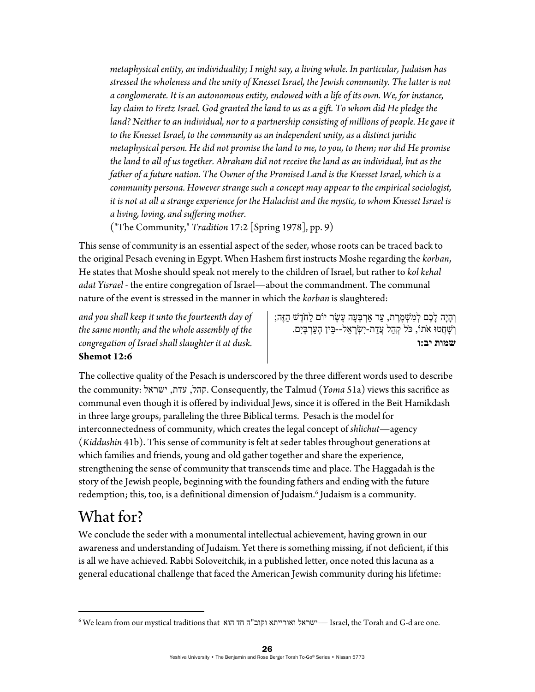*metaphysical entity, an individuality; I might say, a living whole. In particular, Judaism has stressed the wholeness and the unity of Knesset Israel, the Jewish community. The latter is not a conglomerate. It is an autonomous entity, endowed with a life of its own. We, for instance, lay claim to Eretz Israel. God granted the land to us as a gift. To whom did He pledge the*  land? Neither to an individual, nor to a partnership consisting of millions of people. He gave it *to the Knesset Israel, to the community as an independent unity, as a distinct juridic metaphysical person. He did not promise the land to me, to you, to them; nor did He promise the land to all of us together. Abraham did not receive the land as an individual, but as the father of a future nation. The Owner of the Promised Land is the Knesset Israel, which is a community persona. However strange such a concept may appear to the empirical sociologist, it is not at all a strange experience for the Halachist and the mystic, to whom Knesset Israel is a living, loving, and suffering mother.* 

("The Community," *Tradition* 17:2 [Spring 1978], pp. 9)

This sense of community is an essential aspect of the seder, whose roots can be traced back to the original Pesach evening in Egypt. When Hashem first instructs Moshe regarding the *korban*, He states that Moshe should speak not merely to the children of Israel, but rather to *kol kehal adat Yisrael* - the entire congregation of Israel—about the commandment. The communal nature of the event is stressed in the manner in which the *korban* is slaughtered:

*and you shall keep it unto the fourteenth day of the same month; and the whole assembly of the congregation of Israel shall slaughter it at dusk.* **Shemot 12:6** 

ָוְהָיָה לַכֶּם לְמָשָׁמֱרֵת, עַד אַרְבָּעָה עַשַׂר יוֹם לַחֹדֵשׁ הָזֶה; <u>וְשָׁחֲטוּ אֹתוֹ, כֹּל קְהַל עֲדַת-יְשָׂראֵל--בִּין הַעֲרְבַּיִם.</u> **שמות יב:ו** 

The collective quality of the Pesach is underscored by the three different words used to describe the community: ישראל, עדת, ישראל ,קהל, עדת, ישראל ,קהל, עדת communal even though it is offered by individual Jews, since it is offered in the Beit Hamikdash in three large groups, paralleling the three Biblical terms. Pesach is the model for interconnectedness of community, which creates the legal concept of *shlichut*—agency (*Kiddushin* 41b). This sense of community is felt at seder tables throughout generations at which families and friends, young and old gather together and share the experience, strengthening the sense of community that transcends time and place. The Haggadah is the story of the Jewish people, beginning with the founding fathers and ending with the future redemption; this, too, is a definitional dimension of Judaism.6 Judaism is a community.

# What for?

We conclude the seder with a monumental intellectual achievement, having grown in our awareness and understanding of Judaism. Yet there is something missing, if not deficient, if this is all we have achieved. Rabbi Soloveitchik, in a published letter, once noted this lacuna as a general educational challenge that faced the American Jewish community during his lifetime:

 $^6$  We learn from our mystical traditions that הוא חד הוא וקוב"ה חד הוא ישראל ישראל -Israel, the Torah and G-d are one.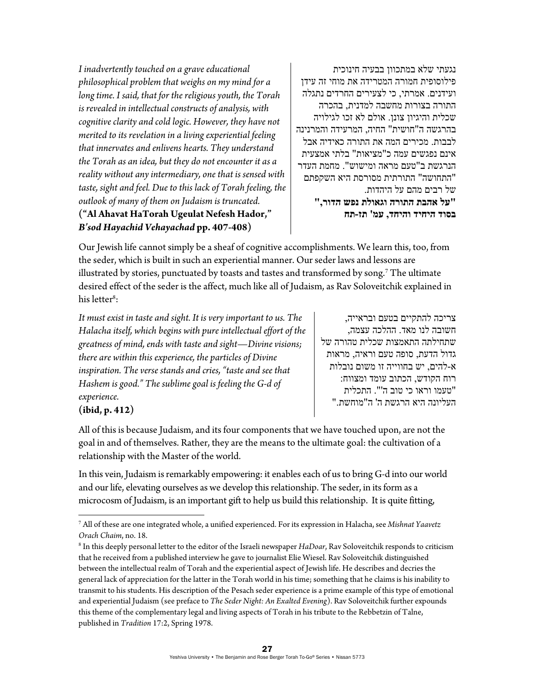*I inadvertently touched on a grave educational philosophical problem that weighs on my mind for a long time. I said, that for the religious youth, the Torah is revealed in intellectual constructs of analysis, with cognitive clarity and cold logic. However, they have not merited to its revelation in a living experiential feeling that innervates and enlivens hearts. They understand the Torah as an idea, but they do not encounter it as a reality without any intermediary, one that is sensed with taste, sight and feel. Due to this lack of Torah feeling, the outlook of many of them on Judaism is truncated.*  **("Al Ahavat HaTorah Ugeulat Nefesh Hador,"**  *B'sod Hayachid Vehayachad* **pp. 407-408)** 

נגעתי שלא במתכוון בבעיה חינוכית פילוסופית חמורה המטרידה את מוחי זה עידן ועידנים. אמרתי, כי לצעירים החרדים נתגלה התורה בצורות מחשבה למדנית, בהכרה שכלית והיגיון צונן. אולם לא זכו לגילויה בהרגשה ה"חושית" החיה, המרעידה והמרנינה לבבות. מכירים המה את התורה כאידיה אבל אינם נפגשים עמה כ"מציאות" בלתי אמצעית הנרגשת ב"טעם מראה ומישוש". מחמת העדר "התחושה" התורתית מסורסת היא השקפתם של רבים מהם על היהדות. **"על אהבת התורה וגאולת נפש הדור,"** 

**בסוד היחיד והיחד, עמ' תז-תח** 

Our Jewish life cannot simply be a sheaf of cognitive accomplishments. We learn this, too, from the seder, which is built in such an experiential manner. Our seder laws and lessons are illustrated by stories, punctuated by toasts and tastes and transformed by song.7 The ultimate desired effect of the seder is the affect, much like all of Judaism, as Rav Soloveitchik explained in his letter<sup>8</sup>:

*It must exist in taste and sight. It is very important to us. The Halacha itself, which begins with pure intellectual effort of the greatness of mind, ends with taste and sight*—*Divine visions; there are within this experience, the particles of Divine inspiration. The verse stands and cries, "taste and see that Hashem is good." The sublime goal is feeling the G-d of experience.* 

צריכה להתקיים בטעם ובראייה, חשובה לנו מאד. ההלכה עצמה, שתחילתה התאמצות שכלית טהורה של גדול הדעת, סופה טעם וראיה, מראות א-להים, יש בחווייה זו משום נובלות רוח הקודש, הכתוב עומד ומצווח: "טעמו וראו כי טוב ה'". התכלית העליונה היא הרגשת ה' ה"מוחשת."

## **(ibid, p. 412)**

All of this is because Judaism, and its four components that we have touched upon, are not the goal in and of themselves. Rather, they are the means to the ultimate goal: the cultivation of a relationship with the Master of the world.

In this vein, Judaism is remarkably empowering: it enables each of us to bring G-d into our world and our life, elevating ourselves as we develop this relationship. The seder, in its form as a microcosm of Judaism, is an important gift to help us build this relationship. It is quite fitting,

<sup>7</sup> All of these are one integrated whole, a unified experienced. For its expression in Halacha, see *Mishnat Yaavetz Orach Chaim.* no. 18.

In this deeply personal letter to the editor of the Israeli newspaper *HaDoar*, Rav Soloveitchik responds to criticism that he received from a published interview he gave to journalist Elie Wiesel. Rav Soloveitchik distinguished between the intellectual realm of Torah and the experiential aspect of Jewish life. He describes and decries the general lack of appreciation for the latter in the Torah world in his time; something that he claims is his inability to transmit to his students. His description of the Pesach seder experience is a prime example of this type of emotional and experiential Judaism (see preface to *The Seder Night: An Exalted Evening*). Rav Soloveitchik further expounds this theme of the complementary legal and living aspects of Torah in his tribute to the Rebbetzin of Talne, published in *Tradition* 17:2, Spring 1978.